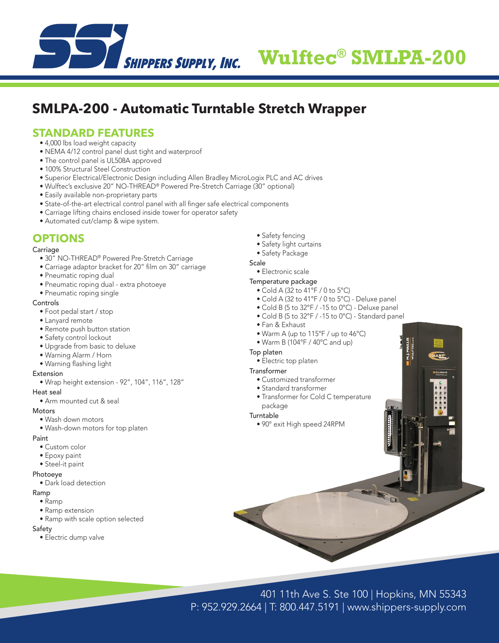

# **Wulftec® SMLPA-200**

## **SMLPA-200 - Automatic Turntable Stretch Wrapper**

### **STANDARD FEATURES**

- 4,000 lbs load weight capacity
- NEMA 4/12 control panel dust tight and waterproof
- The control panel is UL508A approved
- 100% Structural Steel Construction
- Superior Electrical/Electronic Design including Allen Bradley MicroLogix PLC and AC drives
- Wulftec's exclusive 20" NO-THREAD® Powered Pre-Stretch Carriage (30" optional)
- Easily available non-proprietary parts
- State-of-the-art electrical control panel with all finger safe electrical components
- Carriage lifting chains enclosed inside tower for operator safety
- Automated cut/clamp & wipe system.

## **OPTIONS**

#### **Carriage**

- 30" NO-THREAD® Powered Pre-Stretch Carriage
- Carriage adaptor bracket for 20" film on 30" carriage
- Pneumatic roping dual
- Pneumatic roping dual extra photoeye
- Pneumatic roping single

#### Controls

- Foot pedal start / stop
- Lanyard remote
- Remote push button station
- Safety control lockout
- Upgrade from basic to deluxe
- Warning Alarm / Horn
- Warning flashing light
- Extension
	- Wrap height extension 92", 104", 116", 128"

#### Heat seal

• Arm mounted cut & seal

#### **Motors**

- Wash down motors
- Wash-down motors for top platen

#### Paint

- Custom color
- Epoxy paint
- Steel-it paint

#### Photoeye

• Dark load detection

#### Ramp

- Ramp
- Ramp extension
- Ramp with scale option selected

#### Safety

• Electric dump valve

- Safety fencing
- Safety light curtains
- Safety Package

#### **Scale**

• Electronic scale

#### Temperature package

- Cold A (32 to 41°F / 0 to 5°C)
- Cold A (32 to 41°F / 0 to 5°C) Deluxe panel
- Cold B (5 to 32°F / -15 to 0°C) Deluxe panel
- Cold B (5 to 32°F / -15 to 0°C) Standard panel
- Fan & Exhaust
- Warm A (up to 115°F / up to 46°C)
- Warm B (104°F / 40°C and up)

#### Top platen

- Electric top platen
- Transformer
	- Customized transformer
	- Standard transformer
	- Transformer for Cold C temperature
- package

#### Turntable

• 90° exit High speed 24RPM

401 11th Ave S. Ste 100 | Hopkins, MN 55343 P: 952.929.2664 | T: 800.447.5191 | www.shippers-supply.com